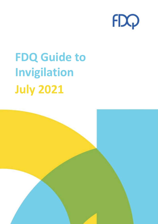

# **FDQ Guide to Invigilation July 2021**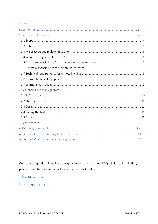# Contents

Questions or queries: If you have any questions or queries about FDQ's Guide to Invigilation, please do not hesitate to contact us, using the details below:

Tel: 0113 859 1266

E-mail: fdq@fdq.org.uk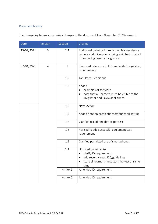# Document history

|  | The change log below summarises changes to the document from November 2020 onwards. |  |  |  |  |
|--|-------------------------------------------------------------------------------------|--|--|--|--|
|--|-------------------------------------------------------------------------------------|--|--|--|--|

| Date       | Version        | Section      | Change                                                                                                                                          |
|------------|----------------|--------------|-------------------------------------------------------------------------------------------------------------------------------------------------|
| 15/02/2021 | 3              | 2.1          | Additional bullet point regarding learner device<br>camera and microphone being switched on at all<br>times during remote invigilation.         |
| 07/04/2021 | $\overline{4}$ | $\mathbf{1}$ | Removed reference to ERF and added regulatory<br>requirements                                                                                   |
|            |                | 1.2          | <b>Tabulated Definitions</b>                                                                                                                    |
|            |                | 1.5          | Added<br>examples of software<br>note that all learners must be visible to the<br>invigilator and EQAC at all times                             |
|            |                | 1.6          | New section                                                                                                                                     |
|            |                | 1.7          | Added note on break out room function setting                                                                                                   |
|            |                | 1.8          | Clarified use of one device per test                                                                                                            |
|            |                | 1.8          | Revised to add successful equipment test<br>requirement                                                                                         |
|            |                | 1.9          | Clarified permitted use of smart phones                                                                                                         |
|            |                | 2.1          | Updated bullet list to<br>clarify ID requirements<br>add recently read JCQ guidelines<br>state all learners must start the test at same<br>time |
|            |                | Annex 1      | Amended ID requirement                                                                                                                          |
|            |                | Annex 2      | Amended ID requirement                                                                                                                          |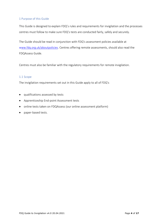# 1 Purpose of this Guide

This Guide is designed to explain FDQ's rules and requirements for invigilation and the processes centres must follow to make sure FDQ's tests are conducted fairly, safely and securely.

The Guide should be read in conjunction with FDQ's assessment policies available at www.fdq.org.uk/aboutpolicies. Centres offering remote assessments, should also read the FDQAssess Guide.

Centres must also be familiar with the regulatory requirements for remote invigilation.

#### 1.1 Scope

The invigilation requirements set out in this Guide apply to all of FDQ's

- qualifications assessed by tests
- Apprenticeship End-point Assessment tests
- online tests taken on FDQAssess (our online assessment platform)
- paper-based tests.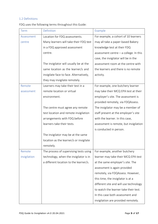# 1.2 Definitions

FDQ uses the following terms throughout this Guide:

| <b>Term</b>  | Definition                              | Example                                  |
|--------------|-----------------------------------------|------------------------------------------|
| Assessment   | Location for FDQ assessments.           | For example, a cohort of 10 learners     |
| centre       | Many learners will take their FDQ test  | may all take a paper-based Bakery        |
|              | in a FDQ approved assessment            | knowledge test at their FDQ              |
|              | centre.                                 | assessment centre $-$ a college. In this |
|              |                                         | case, the invigilator will be in the     |
|              | The invigilator will usually be at the  | assessment room at the centre with       |
|              | same location as the learner/s and      | the learners and there is no remote      |
|              | invigilate face to face. Alternatively, | activity.                                |
|              | they may invigilate remotely.           |                                          |
| Remote       | Learners may take their test in a       | For example, one butchery learner        |
| assessment   | remote location or virtual              | may take their MCQ EPA test at their     |
|              | environment.                            | employer's site. The assessment is       |
|              |                                         | provided remotely, via FDQAssess.        |
|              | The centre must agree any remote        | The invigilator may be a member of       |
|              | test location and remote invigilation   | staff present at the employer's site     |
|              | arrangements with FDQ before            | with the learner. In this case,          |
|              | learners take their tests.              | assessment is remote, but invigilation   |
|              |                                         | is conducted in person.                  |
|              | The invigilator may be at the same      |                                          |
|              | location as the learner/s or invigilate |                                          |
|              | remotely.                               |                                          |
| Remote       | The process of supervising tests using  | For example, another butchery            |
| invigilation | technology, when the invigilator is in  | learner may take their MCQ EPA test      |
|              | a different location to the learner/s.  | at the same employer's site. The         |
|              |                                         | assessment is again provided             |
|              |                                         | remotely, via FDQAssess. However,        |
|              |                                         | this time, the invigilator is at a       |
|              |                                         | different site and will use technology   |
|              |                                         | to watch the learner take their test.    |
|              |                                         | In this case both assessment and         |
|              |                                         | invigilation are provided remotely.      |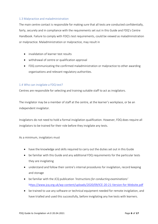# 1.3 Malpractice and maladministration

The main centre contact is responsible for making sure that all tests are conducted confidentially, fairly, securely and in compliance with the requirements set out in this Guide and FDQ's Centre Handbook. Failure to comply with FDQ's test requirements, could be viewed as maladministration or malpractice. Maladministration or malpractice, may result in

- invalidation of learner test results
- withdrawal of centre or qualification approval
- FDQ communicating the confirmed maladministration or malpractice to other awarding organisations and relevant regulatory authorities.

# 1.4 Who can invigilate a FDQ test?

Centres are responsible for selecting and training suitable staff to act as invigilators.

The invigilator may be a member of staff at the centre, at the learner's workplace, or be an independent invigilator.

Invigilators do not need to hold a formal invigilation qualification. However, FDQ does require all invigilators to be trained for their role before they invigilate any tests.

As a minimum, invigilators must

- have the knowledge and skills required to carry out the duties set out in this Guide
- be familiar with this Guide and any additional FDQ requirements for the particular tests they are invigilating
- understand and follow their centre's internal procedures for invigilation, record keeping and storage
- be familiar with the JCQ publication *'Instructions for conducting examinations'* https:/[/www.jcq.org.uk/wp-content/uploads/2020/09/ICE-20-21-Version-for-Website.pdf](http://www.jcq.org.uk/wp-content/uploads/2020/09/ICE-20-21-Version-for-Website.pdf)
- be trained to use any software or technical equipment needed for remote invigilation, and have trialled and used this successfully, before invigilating any live tests with learners.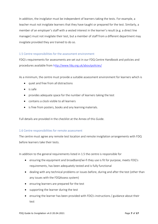In addition, the invigilator must be independent of learners taking the tests. For example, a teacher must not invigilate learners that they have taught or prepared for the test. Similarly, a member of an employer's staff with a vested interest in the learner's result (e.g. a direct line manager) must not invigilate their test, but a member of staff from a different department may invigilate provided they are trained to do so.

#### 1.5 Centre responsibilities for the assessment environment

FDQ's requirements for assessments are set out in our FDQ Centre Handbook and policies and procedures available from http:/[/www.fdq.org.uk/aboutpolicies/](http://www.fdq.org.uk/aboutpolicies/)

As a minimum, the centre must provide a suitable assessment environment for learners which is

- quiet and free from all distractions
- is safe
- provides adequate space for the number of learners taking the test
- contains a clock visible to all learners
- is free from posters, books and any learning materials.

Full details are provided in the checklist at the Annex of this Guide.

#### 1.6 Centre responsibilities for remote assessment

The centre must agree any remote test location and remote invigilation arrangements with FDQ before learners take their tests.

In addition to the general requirements listed in 1.5 the centre is responsible for

- ensuring the equipment and broadband/wi-fi they use is fit for purpose, meets FDQ's requirements, has been adequately tested and is fully functional
- dealing with any technical problems or issues before, during and after the test (other than any issues with the FDQAssess system)
- ensuring learners are prepared for the test
- supporting the learner during the test
- ensuring the learner has been provided with FDQ's instructions / guidance about their test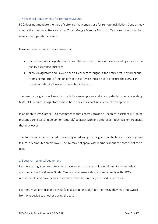# 1.7 Technical requirements for remote invigilation

FDQ does not mandate the type of software that centres use for remote invigilation. Centres may choose the meeting software such as Zoom, Google Meet or Microsoft Teams (or other) that best meets their operational needs.

However, centres must use software that

- records remote invigilation activities. The centre must retain these recordings for external quality assurance purposes
- allows invigilators and EQAC to see all learners throughout the entire test. Any breakout rooms or sub-group functionality in the software must be set to ensure the EQAC can maintain sight of all learners throughout the test.

The remote invigilator will need to use both a smart phone and a laptop/tablet when invigilating tests. FDQ requires invigilators to have both devices as back up in case of emergencies.

In addition to invigilators, FDQ recommends that centres provide a Technical Assistant (TA) to be present during tests (in person or remotely) to assist with any unforeseen technical emergencies that may occur.

The TA role must be restricted to resolving or advising the invigilator on technical issues, e.g. wi-fi failure, or computer break down. The TA may not speak with learners about the content of their test.

#### 1.8 Learner technical equipment

Learners taking a test remotely must have access to the technical equipment and materials specified in the FDQAssess Guide. Centres must ensure devices used comply with FDQ's requirements and have been successfully tested before they are used in live tests.

Learners must only use one device (e.g. a laptop or tablet) for their test. They may not switch from one device to another during the test.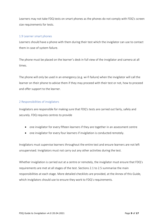Learners may not take FDQ tests on smart phones as the phones do not comply with FDQ's screen size requirements for tests.

#### 1.9 Learner smart phones

Learners should have a phone with them during their test which the invigilator can use to contact them in case of system failure.

The phone must be placed on the learner's desk in full view of the invigilator and camera at all times.

The phone will only be used in an emergency (e.g. wi-fi failure) when the invigilator will call the learner on their phone to advise them if they may proceed with their test or not, how to proceed and offer support to the learner.

#### 2 Responsibilities of invigilators

Invigilators are responsible for making sure that FDQ's tests are carried out fairly, safely and securely. FDQ requires centres to provide

- one invigilator for every fifteen learners if they are together in an assessment centre
- one invigilator for every four learners if invigilation is conducted remotely.

Invigilators must supervise learners throughout the entire test and ensure learners are not left unsupervised. Invigilators must not carry out any other activities during the test.

Whether invigilation is carried out at a centre or remotely, the invigilator must ensure that FDQ's requirements are met at all stages of the test. Sections 2.1 to 2.5 summarise the main responsibilities at each stage. More detailed checklists are provided, at the Annex of this Guide, which invigilators should use to ensure they work to FDQ's requirements.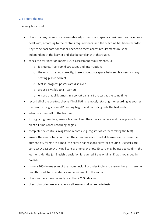# 2.1 Before the test

#### The invigilator must

- check that any request for reasonable adjustments and special considerations have been dealt with, according to the centre's requirements, and the outcome has been recorded. Any scribe, facilitator or reader needed to meet access requirements must be independent of the learner and also be familiar with this Guide.
- check the test location meets FDQ's assessment requirements, i.e.
	- o it is quiet, free from distractions and interruptions
	- o the room is set up correctly, there is adequate space between learners and any seating plan is correct
	- o test-in-progress posters are displayed
	- o a clock is visible to all learners
	- o ensure that all learners in a cohort can start the test at the same time
- record all of the pre-test checks if invigilating remotely; starting the recording as soon as the remote invigilation call/meeting begins and recording until the test ends
- introduce themself to the learners
- if invigilating remotely; ensure learners keep their device camera and microphone turned on at all times once recording begins
- complete the centre's invigilation records (e.g. register of learners taking the test)
- ensure the centre has confirmed the attendance and ID of all learners and ensure that authenticity forms are signed (the centre has responsibility for ensuring ID checks are correct). A passport/ driving licence/ employer photo ID card may be used to confirm the learner's identity (an English translation is required if any original ID was not issued in English)
- make a 360-degree scan of the room (including under tables) to ensure there are no unauthorised items, materials and equipment in the room.
- check learners have recently read the JCQ Guidelines
- check pin codes are available for all learners taking remote tests.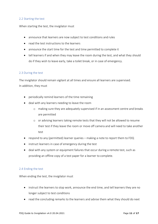# 2.2 Starting the test

When starting the test, the invigilator must

- announce that learners are now subject to test conditions and rules
- read the test instructions to the learners
- announce the start time for the test and time permitted to complete it
- tell learners if and when they may leave the room during the test, and what they should do if they wish to leave early, take a toilet break, or in case of emergency.

#### 2.3 During the test

The invigilator should remain vigilant at all times and ensure all learners are supervised. In addition, they must

- periodically remind learners of the time remaining
- deal with any learners needing to leave the room
	- o making sure they are adequately supervised if in an assessment centre and breaks are permitted
	- o or advising learners taking remote tests that they will not be allowed to resume their test if they leave the room or move off camera and will need to take another test
- respond to any (permitted) learner queries making a note to report them to FDQ
- instruct learners in case of emergency during the test
- deal with any system or equipment failures that occur during a remote test, such as providing an offline copy of a test paper for a learner to complete.

#### 2.4 Ending the test

When ending the test, the invigilator must

- instruct the learners to stop work, announce the end time, and tell learners they are no longer subject to test conditions
- read the concluding remarks to the learners and advise them what they should do next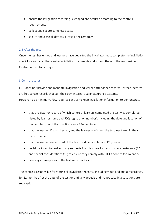- ensure the invigilation recording is stopped and secured according to the centre's requirements
- collect and secure completed tests
- secure and close all devices if invigilating remotely.

# 2.5 After the test

Once the test has ended and learners have departed the invigilator must complete the invigilation check lists and any other centre invigilation documents and submit them to the responsible Centre Contact for storage.

# 3 Centre records

FDQ does not provide and mandate invigilation and learner attendance records. Instead, centres are free to use records that suit their own internal quality assurance systems.

- However, as a minimum, FDQ requires centres to keep invigilation information to demonstrate
	- that a register or record of which cohort of learners completed the test was completed (listed by learner name and FDQ registration number); including the date and location of the test; full title of the qualification or EPA test taken
	- that the learner ID was checked, and the learner confirmed the test was taken in their correct name
	- that the learner was advised of the test conditions, rules and JCQ Guide
	- decisions taken to deal with any requests from learners for reasonable adjustments (RA) and special considerations (SC) to ensure they comply with FDQ's policies for RA and SC
	- how any interruptions to the test were dealt with.

The centre is responsible for storing all invigilation records, including video and audio recordings, for 12 months after the date of the test or until any appeals and malpractice investigations are resolved.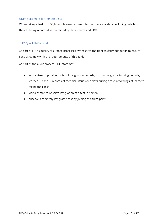# GDPR statement for remote tests

When taking a test on FDQAssess, learners consent to their personal data, including details of their ID being recorded and retained by their centre and FDQ.

# 4 FDQ invigilation audits

As part of FDQ's quality assurance processes, we reserve the right to carry out audits to ensure centres comply with the requirements of this guide.

As part of the audit process, FDQ staff may

- ask centres to provide copies of invigilation records, such as invigilator training records, learner ID checks, records of technical issues or delays during a test, recordings of learners taking their test
- visit a centre to observe invigilation of a test in person
- observe a remotely invigilated test by joining as a third party.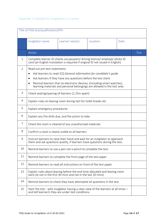|                | Title of FDQ test/qualification/EPA                                                                                                                                                                                                                                                                                       |                 |           |       |             |
|----------------|---------------------------------------------------------------------------------------------------------------------------------------------------------------------------------------------------------------------------------------------------------------------------------------------------------------------------|-----------------|-----------|-------|-------------|
|                | Invigilator name:                                                                                                                                                                                                                                                                                                         | Learner name/s: | Location: | Date: |             |
|                | Action                                                                                                                                                                                                                                                                                                                    |                 |           |       | <b>Tick</b> |
| 1              | Complete learner ID checks via passport/ driving licence/ employer photo ID<br>card (an English translation is required if original ID not issued in English)                                                                                                                                                             |                 |           |       |             |
| $\overline{2}$ | Read out pre-test statements<br>Ask learners to read JCQ General information for candidate's guide<br>Ask learners if they have any questions before the test starts<br>Remind learners that no electronic devices, (including smart watches),<br>learning materials and personal belongings are allowed in the test area |                 |           |       |             |
| 3              | Check seating/spacing of learners (1.25m apart)                                                                                                                                                                                                                                                                           |                 |           |       |             |
| 4              | Explain rules on leaving room during test for toilet breaks etc                                                                                                                                                                                                                                                           |                 |           |       |             |
| 5              | Explain emergency procedures                                                                                                                                                                                                                                                                                              |                 |           |       |             |
| 6              | Explain any fire drills due, and the action to take                                                                                                                                                                                                                                                                       |                 |           |       |             |
| 7              | Check the room is cleared of any unauthorised materials                                                                                                                                                                                                                                                                   |                 |           |       |             |
| 8              | Confirm a clock is clearly visible to all learners                                                                                                                                                                                                                                                                        |                 |           |       |             |
| 9              | Instruct learners to raise their hand and wait for an invigilator to approach<br>them and ask questions quietly, if learners have questions during the test.                                                                                                                                                              |                 |           |       |             |
| 10             | Remind learners to use a pen not a pencil to complete the test                                                                                                                                                                                                                                                            |                 |           |       |             |
| 11             | Remind learners to complete the front page of the test paper                                                                                                                                                                                                                                                              |                 |           |       |             |
| 12             | Remind learners to read all instructions on front of the test paper                                                                                                                                                                                                                                                       |                 |           |       |             |
| 13             | Explain rules about leaving before the end time allocated and leaving room<br>early (ie not in the first 30 mins and not in the last 10 mins)                                                                                                                                                                             |                 |           |       |             |
| 14             | Remind learners to check they have attempted all questions in the test                                                                                                                                                                                                                                                    |                 |           |       |             |
| 15             | Start the test - with invigilator having a clear view of the learners at all times -<br>and tell learner/s they are under test conditions                                                                                                                                                                                 |                 |           |       |             |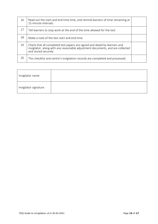| 16 | Read out the start and end time time, and remind learners of time remaining at<br>15 minute intervals.                                                                             |  |
|----|------------------------------------------------------------------------------------------------------------------------------------------------------------------------------------|--|
| 17 | Tell learners to stop work at the end of the time allowed for the test                                                                                                             |  |
| 18 | Make a note of the test start and end time                                                                                                                                         |  |
| 19 | Check that all completed test papers are signed and dated by learners and<br>invigilator, along with any reasonable adjustment documents, and are collected<br>and stored securely |  |
| 20 | This checklist and centre's invigilation records are completed and processed.                                                                                                      |  |

| Invigilator name      |  |
|-----------------------|--|
| Invigilator signature |  |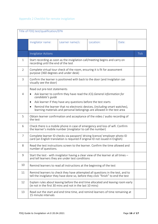|                | Title of FDQ test/qualification/EPA                                                                                                                                                                                                                                                                |                 |                                                                                                                                                                      |       |             |
|----------------|----------------------------------------------------------------------------------------------------------------------------------------------------------------------------------------------------------------------------------------------------------------------------------------------------|-----------------|----------------------------------------------------------------------------------------------------------------------------------------------------------------------|-------|-------------|
|                | Invigilator name:                                                                                                                                                                                                                                                                                  | Learner name/s: | Location:                                                                                                                                                            | Date: |             |
|                | <b>Invigilator Actions</b>                                                                                                                                                                                                                                                                         |                 |                                                                                                                                                                      |       | <b>Tick</b> |
| $\mathbf{1}$   | recording until the end of the test                                                                                                                                                                                                                                                                |                 | Start recording as soon as the invigilation call/meeting begins and carry on                                                                                         |       |             |
| $\overline{2}$ | purpose (360 degrees and under desk)                                                                                                                                                                                                                                                               |                 | Complete virtual tour check of the room, ensuring it is fit for assessment                                                                                           |       |             |
| 3              | visually see the door)                                                                                                                                                                                                                                                                             |                 | Confirm the learner is positioned with back to the door (and Invigilator can                                                                                         |       |             |
| 4              | Read out pre-test statements<br>Ask learner to confirm they have read the JCQ General information for<br>candidate's quide<br>Ask learner if they have any questions before the test starts<br>$\bullet$<br>Remind the learner that no electronic devices, (including smart watches),<br>$\bullet$ |                 |                                                                                                                                                                      |       |             |
|                | learning materials and personal belongings are allowed in the test area                                                                                                                                                                                                                            |                 |                                                                                                                                                                      |       |             |
| 5              | Obtain learner confirmation and acceptance of the video / audio recording of<br>the test                                                                                                                                                                                                           |                 |                                                                                                                                                                      |       |             |
| 6              | Check there is a mobile phone in case of emergency and loss of wifi. Confirm<br>the learner's mobile number (invigilator to call the number)                                                                                                                                                       |                 |                                                                                                                                                                      |       |             |
| $\overline{7}$ | Complete learner ID checks via passport/ driving licence/ employer photo ID<br>card (an English translation is required if original ID not issued in English)                                                                                                                                      |                 |                                                                                                                                                                      |       |             |
| 8              | Read the test instructions screen to the learner. Confirm the time allowed and<br>number of questions.                                                                                                                                                                                             |                 |                                                                                                                                                                      |       |             |
| 9              | Start the test - with invigilator having a clear view of the learner at all times -<br>and tell learners they are under test conditions                                                                                                                                                            |                 |                                                                                                                                                                      |       |             |
| 10             | Remind learners to read all instructions at the beginning of the test                                                                                                                                                                                                                              |                 |                                                                                                                                                                      |       |             |
| 11             |                                                                                                                                                                                                                                                                                                    |                 | Remind learners to check they have attempted all questions in the test, and to<br>tell the invigilator they have done so, before they click "finish" to end the test |       |             |
| 12             | Explain rules about leaving before the end time allocated and leaving room early<br>(ie not in the first 30 mins and not in the last 10 mins)                                                                                                                                                      |                 |                                                                                                                                                                      |       |             |
| 13             | Read out the start and end time time, and remind learners of time remaining at<br>15 minute intervals                                                                                                                                                                                              |                 |                                                                                                                                                                      |       |             |